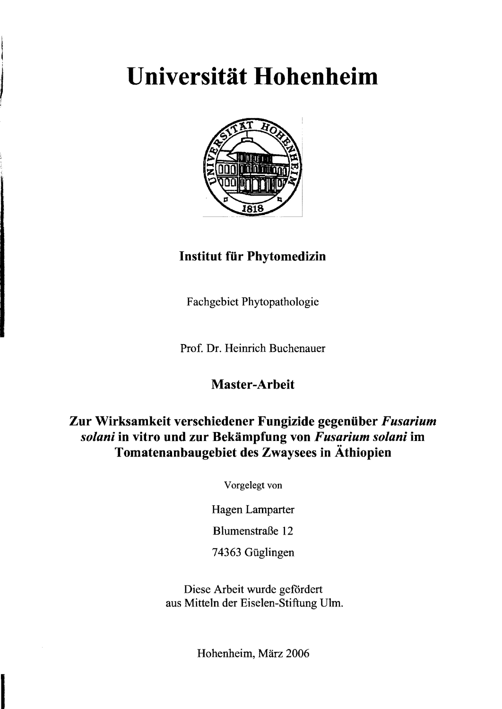# Universität Hohenheim



# **Institut für Phytomedizin**

Fachgebiet Phytopathologie

Prof. Dr. Heinrich Buchenauer

### **Master-Arbeit**

## **Zur Wirksamkeit verschiedener Fungizide gegenüber** *Fusarium solani* **in vitro und zur Bekämpfung von** *Fusarium solani* **im Tomatenanbaugebiet des Zwaysees in Äthiopien**

Vorgelegt von

Hagen Lamparter

Blurnenstraße 12

74363 Güglingen

Diese Arbeit wurde gefordert aus Mitteln der Eiselen-Stiftung Ulm.

Hohenheim, März 2006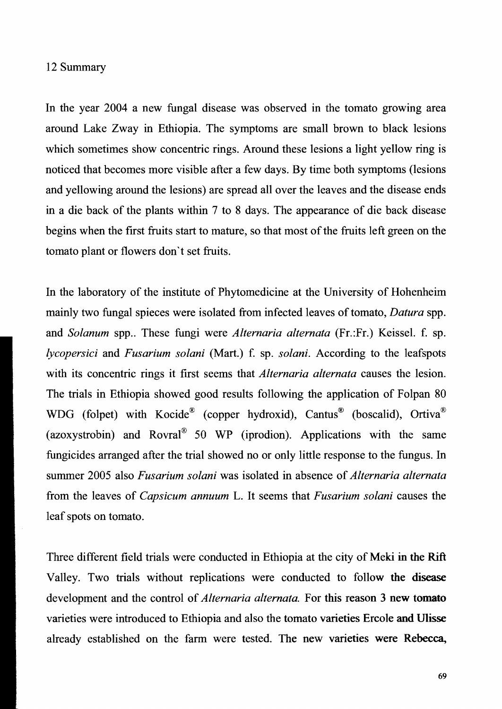#### 12 Summary

In the year 2004 a new fungal disease was observed in the tomato growing area around Lake Zway in Ethiopia. The symptoms are small brown to black lesions which sometimes show concentric rings. Around these lesions a light yellow ring is noticed that becomes more visible after a few days. By time both symptoms (lesions and yellowing around the lesions) are spread all over the leaves and the disease ends in a die back of the plants within 7 to 8 days. The appearance of die back disease begins when the first fruits start to mature, so that most of the fruits left green on the tomato plant or flowers don 't set fruits.

In the laboratory of the institute of Phytomedicine at the University of Hohenheim mainly two fungal spieces were isolated from infected leaves of tomato, *Datura* spp. and *Solanum* spp.. These fungi were *Alternaria alternata* (Fr.:Fr.) Keissel. f. sp. *lycopersici* and *Fusarium solani* (Mart.) f. sp. *solani.* According to the leafspots with its concentric rings it first seems that *Alternaria alternata* causes the lesion. The trials in Ethiopia showed good results following the application of Folpan 80 WDG (folpet) with Kocide<sup>®</sup> (copper hydroxid), Cantus<sup>®</sup> (boscalid), Ortiva<sup>®</sup> (azoxystrobin) and Rovral® 50 WP (iprodion). Applications with the same fungicides arranged after the trial showed no or only little response to the fungus. In summer 2005 also *Fusarium solani* was isolated in absence of *Alternaria alternata*  from the leaves of *Capsicum annuum* L. It seems that *Fusarium solani* causes the leaf spots on tomato.

Three different field trials were conducted in Ethiopia at the city of Meki in the Rift Valley. Two trials without replications were conducted to follow the disease development and the control of *Alternaria alternata.* For this reason 3 new tomato varieties were introduced to Ethiopia and also the tomato varieties Ercole and Ulisse already established on the farm were tested. The new varieties were Rebecca,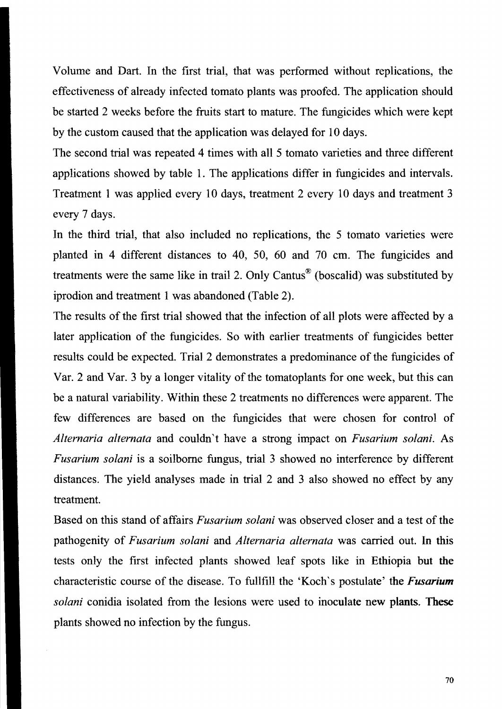Volume and Dart. In the first trial, that was performed without replications, the effectiveness of already infected tomato plants was proofed. The application should be started 2 weeks before the fruits start to mature. The fungicides which were kept by the custom caused that the application was delayed for 10 days.

The second trial was repeated 4 times with all 5 tomato varieties and three different applications showed by table 1. The applications differ in fungicides and intervals. Treatment I was applied every 10 days, treatment 2 every 10 days and treatment 3 every 7 days.

In the third trial, that also included no replications, the 5 tomato varieties were planted in 4 different distances to 40, 50, 60 and 70 cm. The fungicides and treatments were the same like in trail 2. Only Cantus® (boscalid) was substituted by iprodion and treatment 1 was abandoned (Table 2).

The results of the first trial showed that the infection of all plots were affected by a later application of the fungicides. So with earlier treatments of fungicides better results could be expected. Trial 2 demonstrates a predominance of the fungicides of Var. 2 and Var. 3 by a longer vitality of the tomatoplants for one week, but this can be a natural variability. Within these 2 treatments no differences were apparent. The few differences are based on the fungicides that were chosen for control of *Alternaria alternata* and couldn 't have a strong impact on *Fusarium solani.* As *Fusarium solani* is a soilbome fungus, trial 3 showed no interference by different distances. The yield analyses made in trial 2 and 3 also showed no effect by any treatment.

Based on this stand of affairs *Fusarium solani* was observed closer and a test of the pathogenity of *Fusarium solani* and *Alternaria alternata* was carried out. In this tests only the first infected plants showed leaf spots like in Ethiopia but the characteristic course of the disease. To fullfill the 'Koch 's postulate' the *Fusarium solani* conidia isolated from the lesions were used to inoculate new plants. These plants showed no infection by the fungus.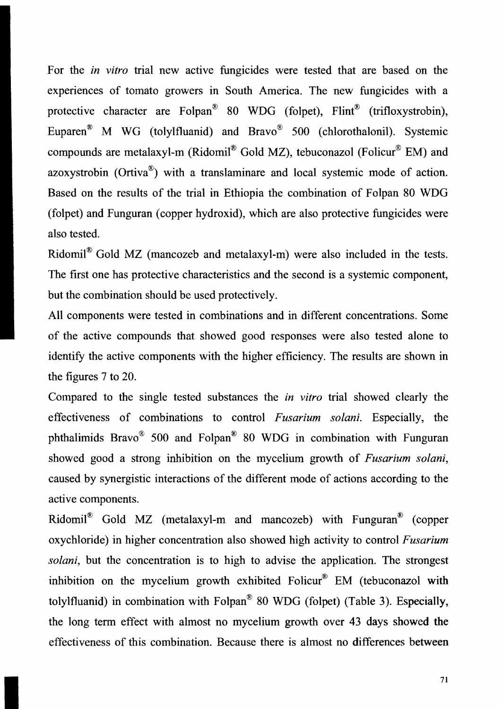For the *in vitro* trial new active fungicides were tested that are based on the experiences of tomato growers in South America. The new fungicides with a protective character are Folpan<sup>®</sup> 80 WDG (folpet), Flint<sup>®</sup> (trifloxystrobin), Euparen® M WG (tolylfluanid) and Bravo® 500 (chlorothalonil). Systemic compounds are metalaxyl-m (Ridomil® Gold MZ), tebuconazol (Folicur® EM) and azoxystrobin (Ortiva®) with a translaminare and local systemic mode of action. Based on the results of the trial in Ethiopia the combination of Folpan 80 WDG (folpet) and Funguran (copper hydroxid), which are also protective fungicides were also tested.

Ridomil® Gold MZ (mancozeb and metalaxyl-m) were also included in the tests. The first one has protective characteristics and the second is a systemic component, but the combination should be used protectively.

All components were tested in combinations and in different concentrations. Some of the active compounds that showed good responses were also tested alone to identify the active components with the higher efficiency. The results are shown in the figures 7 to 20.

Compared to the single tested substances the *in vitro* trial showed clearly the effectiveness of combinations to control *Fusarium solani.* Especially, the phthalimids Bravo® 500 and Folpan® 80 WDG in combination with Funguran showed good a strong inhibition on the mycelium growth of *Fusarium solani,*  caused by synergistic interactions of the different mode of actions according to the active components.

Ridomil® Gold MZ (metalaxyl-m and mancozeb) with Funguran® (copper oxychloride) in higher concentration also showed high activity to control *Fusarium solani*, but the concentration is to high to advise the application. The strongest inhibition on the mycelium growth exhibited Folicur<sup>®</sup> EM (tebuconazol with tolylfluanid) in combination with Folpan® 80 WDG (folpet) (Table 3). Especially, the long term effect with almost no mycelium growth over 43 days showed the effectiveness of this combination. Because there is almost no differences between